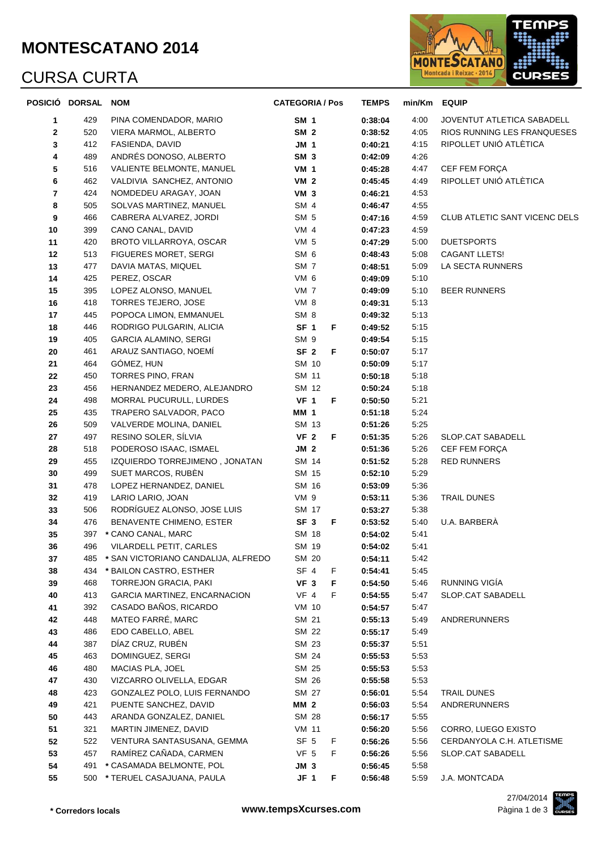#### **MONTESCATANO 2014**

# CURSA CURTA



|                         | POSICIÓ DORSAL NOM |                                     | <b>CATEGORIA / Pos</b> | <b>TEMPS</b> | min/Km | <b>EQUIP</b>                         |
|-------------------------|--------------------|-------------------------------------|------------------------|--------------|--------|--------------------------------------|
| 1                       | 429                | PINA COMENDADOR, MARIO              | <b>SM 1</b>            | 0:38:04      | 4:00   | JOVENTUT ATLETICA SABADELL           |
| $\mathbf{2}$            | 520                | VIERA MARMOL, ALBERTO               | SM <sub>2</sub>        | 0:38:52      | 4:05   | RIOS RUNNING LES FRANQUESES          |
| 3                       | 412                | FASIENDA, DAVID                     | JM 1                   | 0:40:21      | 4:15   | RIPOLLET UNIÓ ATLÈTICA               |
| 4                       | 489                | ANDRÉS DONOSO, ALBERTO              | SM <sub>3</sub>        | 0:42:09      | 4:26   |                                      |
| 5                       | 516                | VALIENTE BELMONTE, MANUEL           | <b>VM 1</b>            | 0:45:28      | 4:47   | CEF FEM FORÇA                        |
| 6                       | 462                | VALDIVIA SANCHEZ, ANTONIO           | VM <sub>2</sub>        | 0:45:45      | 4:49   | RIPOLLET UNIÓ ATLÈTICA               |
| $\overline{\mathbf{r}}$ | 424                | NOMDEDEU ARAGAY, JOAN               | VM <sub>3</sub>        | 0:46:21      | 4:53   |                                      |
| 8                       | 505                | SOLVAS MARTINEZ, MANUEL             | SM <sub>4</sub>        | 0:46:47      | 4:55   |                                      |
| 9                       | 466                | CABRERA ALVAREZ, JORDI              | SM <sub>5</sub>        | 0:47:16      | 4:59   | <b>CLUB ATLETIC SANT VICENC DELS</b> |
| 10                      | 399                | CANO CANAL, DAVID                   | VM <sub>4</sub>        | 0:47:23      | 4:59   |                                      |
| 11                      | 420                | BROTO VILLARROYA, OSCAR             | VM 5                   | 0:47:29      | 5:00   | <b>DUETSPORTS</b>                    |
| 12                      | 513                | <b>FIGUERES MORET, SERGI</b>        | SM <sub>6</sub>        | 0:48:43      | 5:08   | CAGANT LLETS!                        |
| 13                      | 477                | DAVIA MATAS, MIQUEL                 | SM <sub>7</sub>        | 0:48:51      | 5:09   | LA SECTA RUNNERS                     |
| 14                      | 425                | PEREZ, OSCAR                        | VM 6                   | 0:49:09      | 5:10   |                                      |
| 15                      | 395                | LOPEZ ALONSO, MANUEL                | VM <sub>7</sub>        | 0:49:09      | 5:10   | <b>BEER RUNNERS</b>                  |
| 16                      | 418                | TORRES TEJERO, JOSE                 | VM 8                   | 0:49:31      | 5:13   |                                      |
| 17                      | 445                | POPOCA LIMON, EMMANUEL              | SM <sub>8</sub>        | 0:49:32      | 5:13   |                                      |
| 18                      | 446                | RODRIGO PULGARIN, ALICIA            | SF <sub>1</sub><br>F.  | 0:49:52      | 5:15   |                                      |
| 19                      | 405                | <b>GARCIA ALAMINO, SERGI</b>        | SM <sub>9</sub>        | 0:49:54      | 5:15   |                                      |
| 20                      | 461                | ARAUZ SANTIAGO, NOEMI               | SF <sub>2</sub><br>F   | 0:50:07      | 5:17   |                                      |
| 21                      | 464                | GÓMEZ, HUN                          | SM 10                  | 0:50:09      | 5:17   |                                      |
| 22                      | 450                | TORRES PINO, FRAN                   | SM 11                  | 0:50:18      | 5:18   |                                      |
| 23                      | 456                | HERNANDEZ MEDERO, ALEJANDRO         | SM 12                  | 0:50:24      | 5:18   |                                      |
| 24                      | 498                | MORRAL PUCURULL, LURDES             | VF 1<br>F              | 0:50:50      | 5:21   |                                      |
| 25                      | 435                | TRAPERO SALVADOR, PACO              | <b>MM 1</b>            | 0:51:18      | 5:24   |                                      |
| 26                      | 509                | VALVERDE MOLINA, DANIEL             | SM 13                  | 0:51:26      | 5:25   |                                      |
| 27                      | 497                | RESINO SOLER, SÍLVIA                | VF <sub>2</sub><br>F   | 0:51:35      | 5:26   | SLOP.CAT SABADELL                    |
| 28                      | 518                | PODEROSO ISAAC, ISMAEL              | JM 2                   | 0:51:36      | 5:26   | CEF FEM FORÇA                        |
| 29                      | 455                | IZQUIERDO TORREJIMENO, JONATAN      | SM 14                  | 0:51:52      | 5:28   | RED RUNNERS                          |
| 30                      | 499                | SUET MARCOS, RUBEN                  | SM 15                  | 0:52:10      | 5:29   |                                      |
| 31                      | 478                | LOPEZ HERNANDEZ, DANIEL             | SM 16                  | 0:53:09      | 5:36   |                                      |
| 32                      | 419                | LARIO LARIO, JOAN                   | VM 9                   | 0:53:11      | 5:36   | TRAIL DUNES                          |
| 33                      | 506                | RODRÍGUEZ ALONSO, JOSE LUIS         | SM 17                  | 0:53:27      | 5:38   |                                      |
| 34                      | 476                | BENAVENTE CHIMENO, ESTER            | SF <sub>3</sub><br>F.  | 0:53:52      | 5:40   | U.A. BARBERÀ                         |
| 35                      | 397                | * CANO CANAL, MARC                  | SM 18                  | 0:54:02      | 5:41   |                                      |
| 36                      | 496                | VILARDELL PETIT, CARLES             | SM 19                  | 0:54:02      | 5:41   |                                      |
| 37                      | 485                | * SAN VICTORIANO CANDALIJA, ALFREDO | SM 20                  | 0:54:11      | 5:42   |                                      |
| 38                      | 434                | * BAILON CASTRO, ESTHER             | SF 4<br>F              | 0:54:41      | 5:45   |                                      |
| 39                      | 468                | <b>TORREJON GRACIA, PAKI</b>        | VF <sub>3</sub><br>F   | 0:54:50      | 5:46   | RUNNING VIGÍA                        |
| 40                      | 413                | GARCIA MARTINEZ, ENCARNACION        | VF 4<br>F              | 0:54:55      | 5:47   | SLOP.CAT SABADELL                    |
| 41                      | 392                | CASADO BAÑOS, RICARDO               | VM 10                  | 0:54:57      | 5:47   |                                      |
| 42                      | 448                | MATEO FARRÉ, MARC                   | SM 21                  | 0:55:13      | 5:49   | ANDRERUNNERS                         |
| 43                      | 486                | EDO CABELLO, ABEL                   | SM 22                  | 0:55:17      | 5:49   |                                      |
| 44                      | 387                | DÍAZ CRUZ, RUBÉN                    | SM 23                  | 0:55:37      | 5:51   |                                      |
| 45                      | 463                | DOMINGUEZ, SERGI                    | SM 24                  | 0:55:53      | 5:53   |                                      |
| 46                      | 480                | MACIAS PLA, JOEL                    | SM 25                  | 0:55:53      | 5:53   |                                      |
| 47                      | 430                | VIZCARRO OLIVELLA, EDGAR            | SM 26                  | 0:55:58      | 5:53   |                                      |
| 48                      | 423                | GONZALEZ POLO, LUIS FERNANDO        | SM 27                  | 0:56:01      | 5:54   | TRAIL DUNES                          |
| 49                      | 421                | PUENTE SANCHEZ, DAVID               | <b>MM 2</b>            | 0:56:03      | 5:54   | ANDRERUNNERS                         |
| 50                      | 443                | ARANDA GONZALEZ, DANIEL             | SM 28                  | 0:56:17      | 5:55   |                                      |
| 51                      | 321                | MARTIN JIMENEZ, DAVID               | <b>VM 11</b>           | 0:56:20      | 5:56   | CORRO, LUEGO EXISTO                  |
| 52                      | 522                | VENTURA SANTASUSANA, GEMMA          | SF <sub>5</sub><br>F.  | 0:56:26      | 5:56   | CERDANYOLA C.H. ATLETISME            |
| 53                      | 457                | RAMÍREZ CAÑADA, CARMEN              | VF <sub>5</sub><br>F   | 0:56:26      | 5:56   | SLOP.CAT SABADELL                    |
| 54                      | 491                | * CASAMADA BELMONTE, POL            | JM <sub>3</sub>        | 0:56:45      | 5:58   |                                      |
| 55                      |                    | 500 * TERUEL CASAJUANA, PAULA       | JF 1<br>F              | 0:56:48      | 5:59   | J.A. MONTCADA                        |

27/04/2014

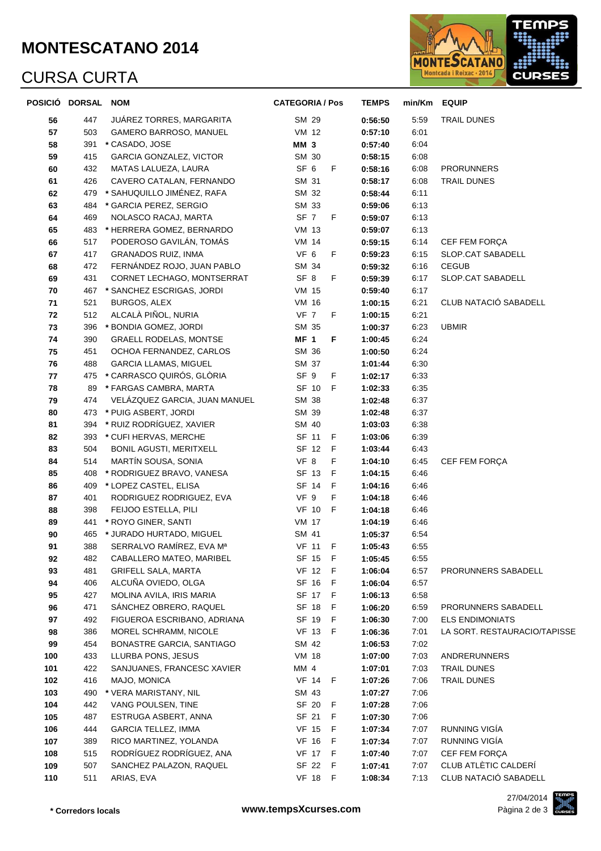#### **MONTESCATANO 2014**

# CURSA CURTA



|     | POSICIÓ DORSAL NOM |                               | <b>CATEGORIA / Pos</b> | <b>TEMPS</b> | min/Km EQUIP |                              |
|-----|--------------------|-------------------------------|------------------------|--------------|--------------|------------------------------|
| 56  | 447                | JUAREZ TORRES, MARGARITA      | SM 29                  | 0:56:50      | 5:59         | TRAIL DUNES                  |
| 57  | 503                | <b>GAMERO BARROSO, MANUEL</b> | VM 12                  | 0:57:10      | 6:01         |                              |
| 58  | 391                | * CASADO, JOSE                | <b>MM 3</b>            | 0:57:40      | 6:04         |                              |
| 59  | 415                | GARCIA GONZALEZ, VICTOR       | SM 30                  | 0:58:15      | 6:08         |                              |
| 60  | 432                | MATAS LALUEZA, LAURA          | SF 6<br>F              | 0:58:16      | 6:08         | <b>PRORUNNERS</b>            |
| 61  | 426                | CAVERO CATALAN, FERNANDO      | SM 31                  | 0:58:17      | 6:08         | TRAIL DUNES                  |
| 62  | 479                | * SAHUQUILLO JIMÉNEZ, RAFA    | SM 32                  | 0:58:44      | 6:11         |                              |
| 63  | 484                | * GARCIA PEREZ, SERGIO        | SM 33                  | 0:59:06      | 6:13         |                              |
| 64  | 469                | NOLASCO RACAJ, MARTA          | SF 7<br>$-F$           | 0:59:07      | 6:13         |                              |
| 65  | 483                | * HERRERA GOMEZ, BERNARDO     | VM 13                  | 0:59:07      | 6:13         |                              |
| 66  | 517                | PODEROSO GAVILÁN, TOMÁS       | <b>VM 14</b>           | 0:59:15      | 6:14         | CEF FEM FORÇA                |
| 67  | 417                | <b>GRANADOS RUIZ, INMA</b>    | VF <sub>6</sub><br>F   | 0:59:23      | 6:15         | SLOP.CAT SABADELL            |
| 68  | 472                | FERNÁNDEZ ROJO, JUAN PABLO    | SM 34                  | 0:59:32      | 6:16         | <b>CEGUB</b>                 |
| 69  | 431                | CORNET LECHAGO, MONTSERRAT    | SF 8<br>F              | 0:59:39      | 6:17         | SLOP.CAT SABADELL            |
| 70  | 467                | * SANCHEZ ESCRIGAS, JORDI     | VM 15                  | 0:59:40      | 6:17         |                              |
| 71  | 521                | BURGOS, ALEX                  | VM 16                  | 1:00:15      | 6:21         | CLUB NATACIÓ SABADELL        |
| 72  | 512                | ALCALÀ PIÑOL, NURIA           | <b>VF 7</b><br>F       | 1:00:15      | 6:21         |                              |
| 73  | 396                | * BONDIA GOMEZ, JORDI         | SM 35                  | 1:00:37      | 6:23         | <b>UBMIR</b>                 |
| 74  | 390                | <b>GRAELL RODELAS, MONTSE</b> | <b>MF 1</b><br>F       | 1:00:45      | 6:24         |                              |
| 75  | 451                | OCHOA FERNANDEZ, CARLOS       | SM 36                  | 1:00:50      | 6:24         |                              |
| 76  | 488                | <b>GARCIA LLAMAS, MIGUEL</b>  | SM 37                  | 1:01:44      | 6:30         |                              |
| 77  | 475                | * CARRASCO QUIRÓS, GLÒRIA     | SF 9<br>F              | 1:02:17      | 6:33         |                              |
| 78  | 89                 | * FARGAS CAMBRA, MARTA        | SF 10 F                | 1:02:33      | 6:35         |                              |
| 79  | 474                | VELÁZQUEZ GARCIA, JUAN MANUEL | SM 38                  | 1:02:48      | 6:37         |                              |
| 80  | 473                | * PUIG ASBERT, JORDI          | SM 39                  | 1:02:48      | 6:37         |                              |
| 81  | 394                | * RUIZ RODRÍGUEZ, XAVIER      | SM 40                  | 1:03:03      | 6:38         |                              |
| 82  | 393                | * CUFI HERVAS, MERCHE         | SF 11 F                | 1:03:06      | 6:39         |                              |
| 83  | 504                | BONIL AGUSTI, MERITXELL       | SF 12 F                | 1:03:44      | 6:43         |                              |
| 84  | 514                | MARTÍN SOUSA, SONIA           | VF 8<br>F              | 1:04:10      | 6:45         | CEF FEM FORÇA                |
| 85  | 408                | * RODRIGUEZ BRAVO, VANESA     | SF 13<br>- F           | 1:04:15      | 6:46         |                              |
| 86  | 409                | * LOPEZ CASTEL, ELISA         | SF 14<br>F             | 1:04:16      | 6:46         |                              |
| 87  | 401                | RODRIGUEZ RODRIGUEZ, EVA      | F<br>VF 9              | 1:04:18      | 6:46         |                              |
| 88  | 398                | FEIJOO ESTELLA, PILI          | VF 10 F                | 1:04:18      | 6:46         |                              |
| 89  | 441                | * ROYO GINER, SANTI           | <b>VM 17</b>           | 1:04:19      | 6:46         |                              |
| 90  | 465                | * JURADO HURTADO, MIGUEL      | SM 41                  | 1:05:37      | 6:54         |                              |
| 91  | 388                | SERRALVO RAMÍREZ, EVA Mª      | <b>VF 11 F</b>         | 1:05:43      | 6:55         |                              |
| 92  | 482                | CABALLERO MATEO, MARIBEL      | SF 15 F                | 1:05:45      | 6:55         |                              |
| 93  | 481                | GRIFELL SALA, MARTA           | VF 12 F                | 1:06:04      | 6:57         | PRORUNNERS SABADELL          |
| 94  | 406                | ALCUÑA OVIEDO, OLGA           | SF 16 F                | 1:06:04      | 6:57         |                              |
| 95  | 427                | MOLINA AVILA, IRIS MARIA      | SF 17 F                | 1:06:13      | 6:58         |                              |
| 96  | 471                | SÁNCHEZ OBRERO, RAQUEL        | SF 18<br>- F           | 1:06:20      | 6:59         | PRORUNNERS SABADELL          |
| 97  | 492                | FIGUEROA ESCRIBANO, ADRIANA   | SF 19 F                | 1:06:30      | 7:00         | <b>ELS ENDIMONIATS</b>       |
| 98  | 386                | MOREL SCHRAMM, NICOLE         | VF 13 F                | 1:06:36      | 7:01         | LA SORT. RESTAURACIO/TAPISSE |
| 99  | 454                | BONASTRE GARCIA, SANTIAGO     | SM 42                  | 1:06:53      | 7:02         |                              |
| 100 | 433                | LLURBA PONS, JESUS            | <b>VM 18</b>           | 1:07:00      | 7:03         | ANDRERUNNERS                 |
| 101 | 422                | SANJUANES, FRANCESC XAVIER    | MM 4                   | 1:07:01      | 7:03         | TRAIL DUNES                  |
| 102 | 416                | MAJO, MONICA                  | VF 14 F                | 1:07:26      | 7:06         | TRAIL DUNES                  |
| 103 | 490                | * VERA MARISTANY, NIL         | SM 43                  | 1:07:27      | 7:06         |                              |
| 104 | 442                | VANG POULSEN, TINE            | SF 20 F                | 1:07:28      | 7:06         |                              |
| 105 | 487                | ESTRUGA ASBERT, ANNA          | SF 21<br>F             | 1:07:30      | 7:06         |                              |
| 106 | 444                | <b>GARCIA TELLEZ, IMMA</b>    | VF 15<br>- F           | 1:07:34      | 7:07         | RUNNING VIGÍA                |
| 107 | 389                | RICO MARTINEZ, YOLANDA        | VF 16 F                | 1:07:34      | 7:07         | RUNNING VIGÍA                |
| 108 | 515                | RODRÍGUEZ RODRÍGUEZ, ANA      | <b>VF 17 F</b>         | 1:07:40      | 7:07         | CEF FEM FORÇA                |
| 109 | 507                | SANCHEZ PALAZON, RAQUEL       | SF 22 F                | 1:07:41      | 7:07         | CLUB ATLÈTIC CALDERÍ         |
| 110 | 511                | ARIAS, EVA                    | <b>VF 18 F</b>         | 1:08:34      | 7:13         | CLUB NATACIÓ SABADELL        |